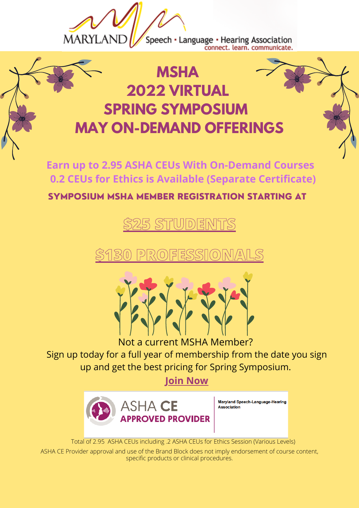

Speech • Language • Hearing Association<br>connect. learn. communicate.

## **MSHA 2022 VIRTUAL SPRING SYMPOSIUM MAY ON-DEMAND OFFERINGS**

**Earn up to 2.95 ASHA CEUs With On-Demand Courses 0.2 CEUs for Ethics is Available (Separate Certificate)**

SYMPOSIUM MSHA MEMBER REGISTRATION STARTING AT

**\$25 [STUDENTS](https://mslha37.wildapricot.org/event-4763919)**

**\$130 [PROFESSIONALS](https://mslha37.wildapricot.org/event-4763919)**



Not a current MSHA Member?

Sign up today for a full year of membership from the date you sign up and get the best pricing for Spring Symposium.

**Join [Now](https://mslha37.wildapricot.org/Member)**



Total of 2.95 ASHA CEUs including .2 ASHA CEUs for Ethics Session (Various Levels)

ASHA CE Provider approval and use of the Brand Block does not imply endorsement of course content, specific products or clinical procedures.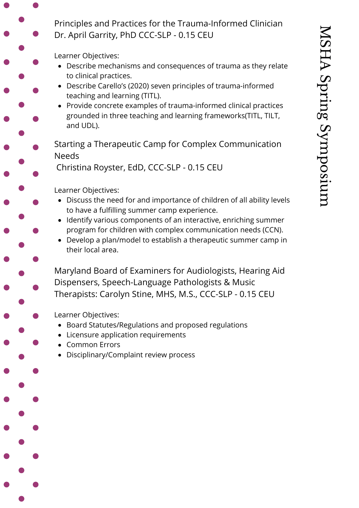Principles and Practices for the Trauma-Informed Clinician Dr. April Garrity, PhD CCC-SLP - 0.15 CEU

Learner Objectives:

- Describe mechanisms and consequences of trauma as they relate to clinical practices.
- Describe Carello's (2020) seven principles of trauma-informed teaching and learning (TITL).
- Provide concrete examples of trauma-informed clinical practices grounded in three teaching and learning frameworks(TITL, TILT, and UDL).
- Starting a Therapeutic Camp for Complex Communication Needs

Christina Royster, EdD, CCC-SLP - 0.15 CEU

Learner Objectives:

- Discuss the need for and importance of children of all ability levels to have a fulfilling summer camp experience.
- Identify various components of an interactive, enriching summer program for children with complex communication needs (CCN).
- Develop a plan/model to establish a therapeutic summer camp in their local area.

Maryland Board of Examiners for Audiologists, Hearing Aid Dispensers, Speech-Language Pathologists & Music Therapists: Carolyn Stine, MHS, M.S., CCC-SLP - 0.15 CEU

- Board Statutes/Regulations and proposed regulations
- Licensure application requirements
- Common Errors
- Disciplinary/Complaint review process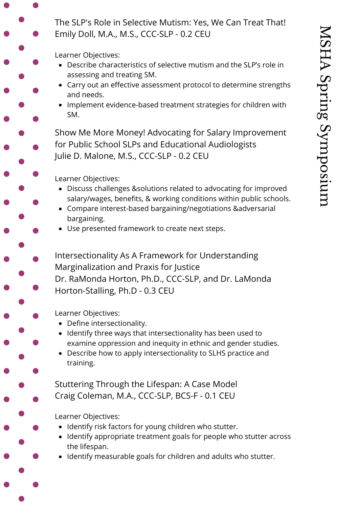The SLP's Role in Selective Mutism: Yes, We Can Treat That! Emily Doll, M.A., M.S., CCC-SLP - 0.2 CEU

Learner Objectives:

- Describe characteristics of selective mutism and the SLP's role in assessing and treating SM.
- Carry out an effective assessment protocol to determine strengths and needs.
- Implement evidence-based treatment strategies for children with SM.

Show Me More Money! Advocating for Salary Improvement for Public School SLPs and Educational Audiologists Julie D. Malone, M.S., CCC-SLP - 0.2 CEU

Learner Objectives:

- Discuss challenges &solutions related to advocating for improved salary/wages, benefits, & working conditions within public schools.
- Compare interest-based bargaining/negotiations &adversarial bargaining.
- Use presented framework to create next steps.

Intersectionality As A Framework for Understanding Marginalization and Praxis for Justice Dr. RaMonda Horton, Ph.D., CCC-SLP, and Dr. LaMonda Horton-Stalling, Ph.D - 0.3 CEU

Learner Objectives:

- Define intersectionality.
- Identify three ways that intersectionality has been used to examine oppression and inequity in ethnic and gender studies.
- Describe how to apply intersectionality to SLHS practice and training.

Stuttering Through the Lifespan: A Case Model Craig Coleman, M.A., CCC-SLP, BCS-F - 0.1 CEU

- Identify risk factors for young children who stutter.
- Identify appropriate treatment goals for people who stutter across the lifespan.
- Identify measurable goals for children and adults who stutter.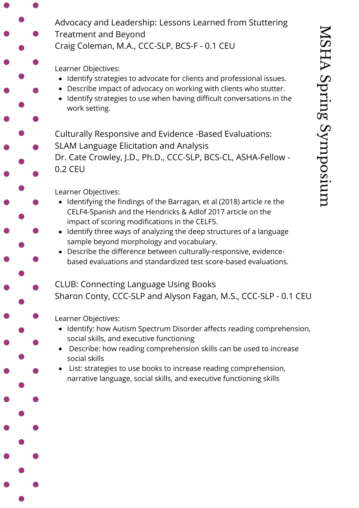Advocacy and Leadership: Lessons Learned from Stuttering Treatment and Beyond

Craig Coleman, M.A., CCC-SLP, BCS-F - 0.1 CEU

Learner Objectives:

- Identify strategies to advocate for clients and professional issues.
- Describe impact of advocacy on working with clients who stutter.
- Identify strategies to use when having difficult conversations in the work setting.

Culturally Responsive and Evidence -Based Evaluations:

SLAM Language Elicitation and Analysis

Dr. Cate Crowley, J.D., Ph.D., CCC-SLP, BCS-CL, ASHA-Fellow - 0.2 CEU

Learner Objectives:

- Identifying the findings of the Barragan, et al (2018) article re the CELF4-Spanish and the Hendricks & Adlof 2017 article on the impact of scoring modifications in the CELF5.
- Identify three ways of analyzing the deep structures of a language sample beyond morphology and vocabulary.
- Describe the difference between culturally-responsive, evidencebased evaluations and standardized test score-based evaluations.
- CLUB: Connecting Language Using Books Sharon Conty, CCC-SLP and Alyson Fagan, M.S., CCC-SLP - 0.1 CEU

- Identify: how Autism Spectrum Disorder affects reading comprehension, social skills, and executive functioning
- Describe: how reading comprehension skills can be used to increase social skills
- List: strategies to use books to increase reading comprehension, narrative language, social skills, and executive functioning skills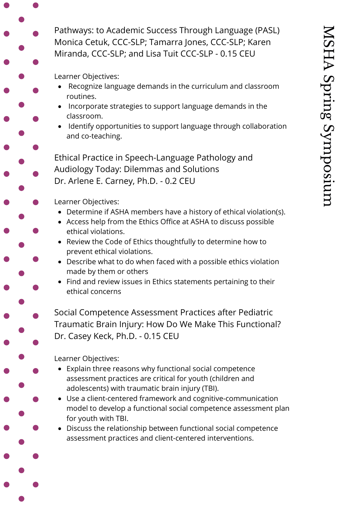Pathways: to Academic Success Through Language (PASL) Monica Cetuk, CCC-SLP; Tamarra Jones, CCC-SLP; Karen Miranda, CCC-SLP; and Lisa Tuit CCC-SLP - 0.15 CEU

Learner Objectives:

- Recognize language demands in the curriculum and classroom routines.
- Incorporate strategies to support language demands in the classroom.
- Identify opportunities to support language through collaboration and co-teaching.

Ethical Practice in Speech-Language Pathology and Audiology Today: Dilemmas and Solutions Dr. Arlene E. Carney, Ph.D. - 0.2 CEU

Learner Objectives:

- Determine if ASHA members have a history of ethical violation(s).
- Access help from the Ethics Office at ASHA to discuss possible ethical violations.
- Review the Code of Ethics thoughtfully to determine how to prevent ethical violations.
- Describe what to do when faced with a possible ethics violation made by them or others
- Find and review issues in Ethics statements pertaining to their ethical concerns

Social Competence Assessment Practices after Pediatric Traumatic Brain Injury: How Do We Make This Functional? Dr. Casey Keck, Ph.D. - 0.15 CEU

- Explain three reasons why functional social competence assessment practices are critical for youth (children and adolescents) with traumatic brain injury (TBI).
- Use a client-centered framework and cognitive-communication model to develop a functional social competence assessment plan for youth with TBI.
- Discuss the relationship between functional social competence assessment practices and client-centered interventions.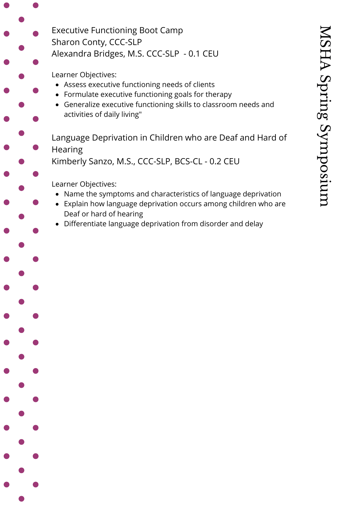Executive Functioning Boot Camp Sharon Conty, CCC-SLP Alexandra Bridges, M.S. CCC-SLP - 0.1 CEU

Learner Objectives:

- Assess executive functioning needs of clients
- Formulate executive functioning goals for therapy
- Generalize executive functioning skills to classroom needs and activities of daily living"

Language Deprivation in Children who are Deaf and Hard of Hearing

Kimberly Sanzo, M.S., CCC-SLP, BCS-CL - 0.2 CEU

- Name the symptoms and characteristics of language deprivation
- Explain how language deprivation occurs among children who are Deaf or hard of hearing
- Differentiate language deprivation from disorder and delay